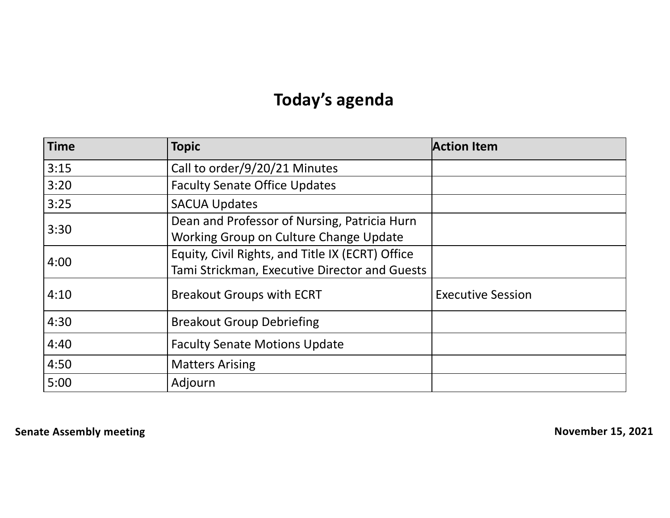# **Today's agenda**

| <b>Time</b> | <b>Topic</b>                                                                                      | <b>Action Item</b>       |
|-------------|---------------------------------------------------------------------------------------------------|--------------------------|
| 3:15        | Call to order/9/20/21 Minutes                                                                     |                          |
| 3:20        | <b>Faculty Senate Office Updates</b>                                                              |                          |
| 3:25        | <b>SACUA Updates</b>                                                                              |                          |
| 3:30        | Dean and Professor of Nursing, Patricia Hurn<br>Working Group on Culture Change Update            |                          |
| 4:00        | Equity, Civil Rights, and Title IX (ECRT) Office<br>Tami Strickman, Executive Director and Guests |                          |
| 4:10        | <b>Breakout Groups with ECRT</b>                                                                  | <b>Executive Session</b> |
| 4:30        | <b>Breakout Group Debriefing</b>                                                                  |                          |
| 4:40        | <b>Faculty Senate Motions Update</b>                                                              |                          |
| 4:50        | <b>Matters Arising</b>                                                                            |                          |
| 5:00        | Adjourn                                                                                           |                          |

**Senate Assembly meeting November 15, 2021**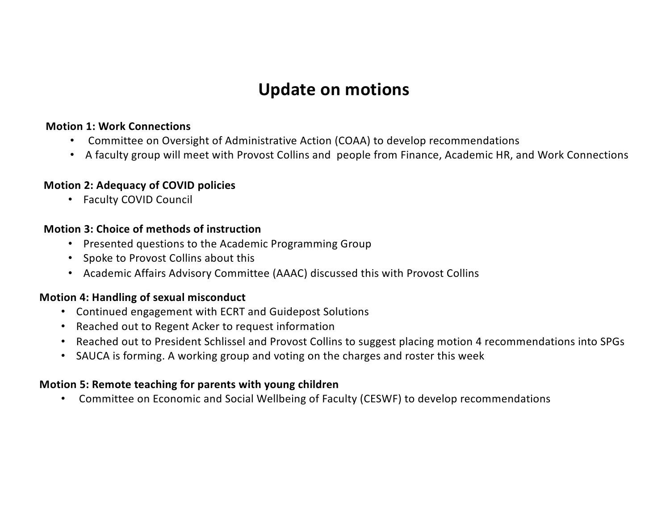## **Update on motions**

#### **Motion 1: Work Connections**

- Committee on Oversight of Administrative Action (COAA) to develop recommendations
- A faculty group will meet with Provost Collins and people from Finance, Academic HR, and Work Connections

#### **Motion 2: Adequacy of COVID policies**

• Faculty COVID Council

#### **Motion 3: Choice of methods of instruction**

- Presented questions to the Academic Programming Group
- Spoke to Provost Collins about this
- Academic Affairs Advisory Committee (AAAC) discussed this with Provost Collins

#### **Motion 4: Handling of sexual misconduct**

- Continued engagement with ECRT and Guidepost Solutions
- Reached out to Regent Acker to request information
- Reached out to President Schlissel and Provost Collins to suggest placing motion 4 recommendations into SPGs
- SAUCA is forming. A working group and voting on the charges and roster this week

#### **Motion 5: Remote teaching for parents with young children**

• Committee on Economic and Social Wellbeing of Faculty (CESWF) to develop recommendations